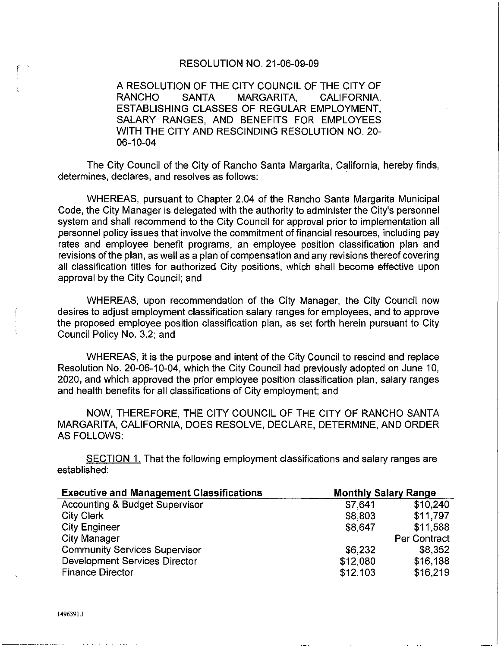## RESOLUTION NO. 21-06-09-09

## A RESOLUTION OF THE CITY COUNCIL OF THE CITY OF RANCHO SANTA MARGARITA CALIFORNIA MARGARITA. CALIFORNIA, ESTABLISHING CLASSES OF REGULAR EMPLOYMENT, SALARY RANGES, AND BENEFITS FOR EMPLOYEES WITH THE CITY AND RESCINDING RESOLUTION NO. 20- 06-10-04

The City Council of the City of Rancho Santa Margarita, California, hereby finds, determines, declares, and resolves as follows:

WHEREAS, pursuant to Chapter 2.04 of the Rancho Santa Margarita Municipal Code, the City Manager is delegated with the authority to administer the City's personnel system and shall recommend to the City Council for approval prior to implementation all personnel policy issues that involve the commitment of financial resources, including pay rates and employee benefit programs, an employee position classification plan and revisions of the plan, as well as a plan of compensation and any revisions thereof covering all classification titles for authorized City positions, which shall become effective upon approval by the City Council; and

WHEREAS, upon recommendation of the City Manager, the City Council now desires to adjust employment classification salary ranges for employees, and to approve the proposed employee position classification plan, as set forth herein pursuant to City Council Policy No. 3.2; and

WHEREAS, it is the purpose and intent of the City Council to rescind and replace Resolution No. 20-06-10-04, which the City Council had previously adopted on June 10, 2020, and which approved the prior employee position classification plan, salary ranges and health benefits for all classifications of City employment; and

NOW, THEREFORE, THE CITY COUNCIL OF THE CITY OF RANCHO SANTA MARGARITA, CALIFORNIA, DOES RESOLVE, DECLARE, DETERMINE, AND ORDER AS FOLLOWS:

SECTION 1. That the following employment classifications and salary ranges are established:

| <b>Executive and Management Classifications</b> | <b>Monthly Salary Range</b> |              |
|-------------------------------------------------|-----------------------------|--------------|
| <b>Accounting &amp; Budget Supervisor</b>       | \$7,641                     | \$10,240     |
| <b>City Clerk</b>                               | \$8,803                     | \$11,797     |
| <b>City Engineer</b>                            | \$8,647                     | \$11,588     |
| City Manager                                    |                             | Per Contract |
| <b>Community Services Supervisor</b>            | \$6,232                     | \$8,352      |
| <b>Development Services Director</b>            | \$12,080                    | \$16,188     |
| <b>Finance Director</b>                         | \$12,103                    | \$16,219     |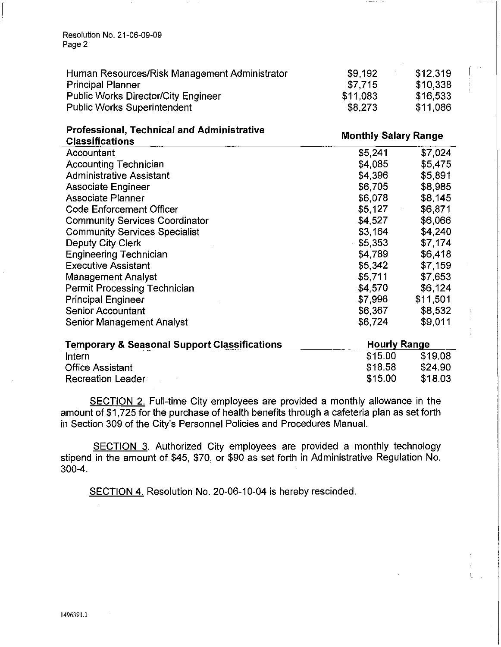Resolution No. 21-06-09-09 Page 2

| Human Resources/Risk Management Administrator | \$9.192  | \$12,319 | $\sim$ $\sim$ |
|-----------------------------------------------|----------|----------|---------------|
| <b>Principal Planner</b>                      | \$7.715  | \$10,338 |               |
| <b>Public Works Director/City Engineer</b>    | \$11.083 | \$16,533 |               |
| <b>Public Works Superintendent</b>            | \$8,273  | \$11,086 |               |

## **Professional, Technical and Administrative**

**Monthly Salary Range** 

| <b>Classifications</b>                |         |          |  |
|---------------------------------------|---------|----------|--|
| Accountant                            | \$5,241 | \$7,024  |  |
| <b>Accounting Technician</b>          | \$4,085 | \$5,475  |  |
| <b>Administrative Assistant</b>       | \$4,396 | \$5,891  |  |
| <b>Associate Engineer</b>             | \$6,705 | \$8,985  |  |
| <b>Associate Planner</b>              | \$6,078 | \$8,145  |  |
| <b>Code Enforcement Officer</b>       | \$5,127 | \$6,871  |  |
| <b>Community Services Coordinator</b> | \$4,527 | \$6,066  |  |
| <b>Community Services Specialist</b>  | \$3,164 | \$4,240  |  |
| Deputy City Clerk                     | \$5,353 | \$7,174  |  |
| <b>Engineering Technician</b>         | \$4,789 | \$6,418  |  |
| <b>Executive Assistant</b>            | \$5,342 | \$7,159  |  |
| <b>Management Analyst</b>             | \$5,711 | \$7,653  |  |
| Permit Processing Technician          | \$4,570 | \$6,124  |  |
| <b>Principal Engineer</b>             | \$7,996 | \$11,501 |  |
| <b>Senior Accountant</b>              | \$6,367 | \$8,532  |  |
| Senior Management Analyst             | \$6,724 | \$9,011  |  |
|                                       |         |          |  |

| <b>Temporary &amp; Seasonal Support Classifications</b> | <b>Hourly Range</b> |         |
|---------------------------------------------------------|---------------------|---------|
| Intern                                                  | \$15.00             | \$19.08 |
| <b>Office Assistant</b>                                 | \$18.58             | \$24.90 |
| <b>Recreation Leader</b>                                | \$15.00             | \$18.03 |

SECTION 2. Full-time City employees are provided a monthly allowance in the amount of \$1,725 for the purchase of health benefits through a cafeteria plan as set forth in Section 309 of the City's Personnel Policies and Procedures Manual.

SECTION 3. Authorized City employees are provided a monthly technology stipend in the amount of \$45, \$70, or \$90 as set forth in Administrative Regulation No. 300-4.

SECTION 4. Resolution No. 20-06-10-04 is hereby rescinded.